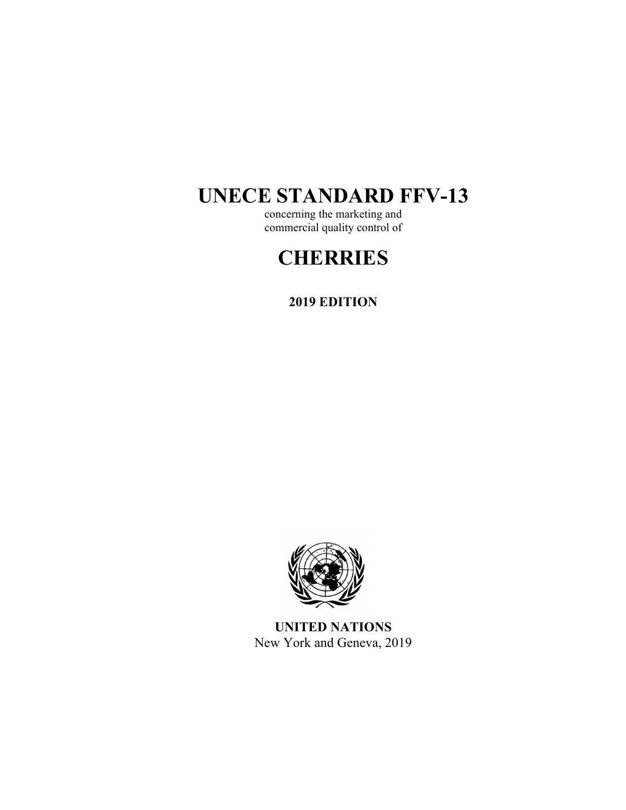# **UNECE STANDARD FFV-13**

concerning the marketing and commercial quality control of

# **CHERRIES**

**2019 EDITION** 



**UNITED NATIONS**  New York and Geneva, 2019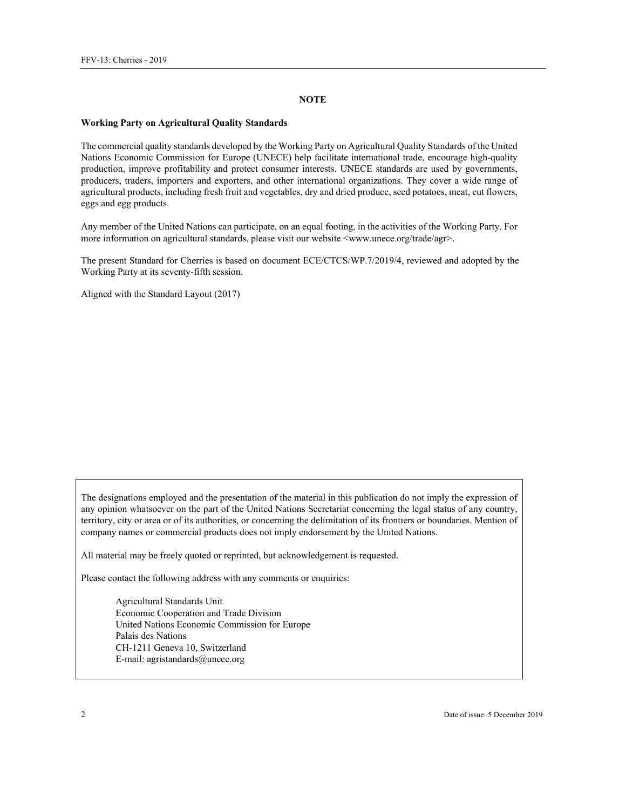#### **NOTE**

#### **Working Party on Agricultural Quality Standards**

The commercial quality standards developed by the Working Party on Agricultural Quality Standards of the United Nations Economic Commission for Europe (UNECE) help facilitate international trade, encourage high-quality production, improve profitability and protect consumer interests. UNECE standards are used by governments, producers, traders, importers and exporters, and other international organizations. They cover a wide range of agricultural products, including fresh fruit and vegetables, dry and dried produce, seed potatoes, meat, cut flowers, eggs and egg products.

Any member of the United Nations can participate, on an equal footing, in the activities of the Working Party. For more information on agricultural standards, please visit our website <www.unece.org/trade/agr>.

The present Standard for Cherries is based on document ECE/CTCS/WP.7/2019/4, reviewed and adopted by the Working Party at its seventy-fifth session.

Aligned with the Standard Layout (2017)

The designations employed and the presentation of the material in this publication do not imply the expression of any opinion whatsoever on the part of the United Nations Secretariat concerning the legal status of any country, territory, city or area or of its authorities, or concerning the delimitation of its frontiers or boundaries. Mention of company names or commercial products does not imply endorsement by the United Nations.

All material may be freely quoted or reprinted, but acknowledgement is requested.

Please contact the following address with any comments or enquiries:

Agricultural Standards Unit Economic Cooperation and Trade Division United Nations Economic Commission for Europe Palais des Nations CH-1211 Geneva 10, Switzerland E-mail: agristandards@unece.org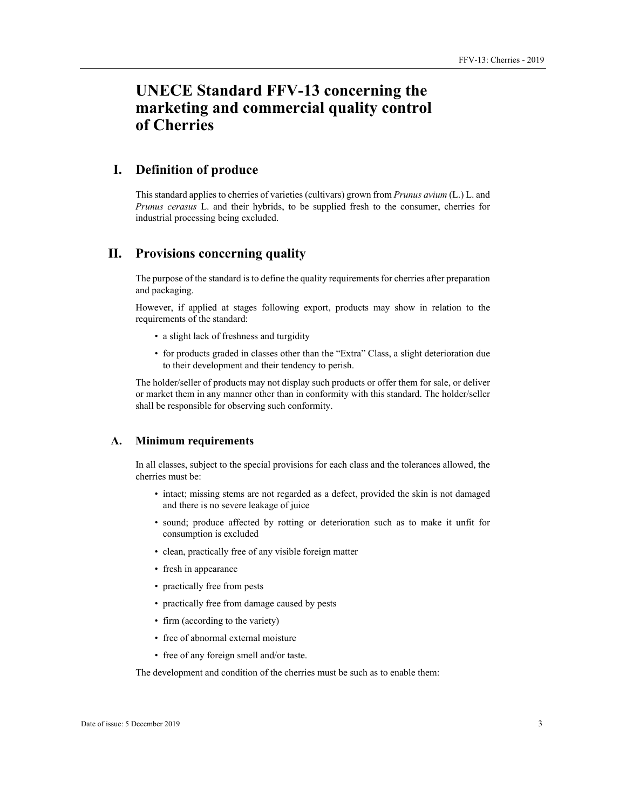# **UNECE Standard FFV-13 concerning the marketing and commercial quality control of Cherries**

# **I. Definition of produce**

This standard applies to cherries of varieties (cultivars) grown from *Prunus avium* (L.) L. and *Prunus cerasus* L. and their hybrids, to be supplied fresh to the consumer, cherries for industrial processing being excluded.

# **II. Provisions concerning quality**

The purpose of the standard is to define the quality requirements for cherries after preparation and packaging.

However, if applied at stages following export, products may show in relation to the requirements of the standard:

- a slight lack of freshness and turgidity
- for products graded in classes other than the "Extra" Class, a slight deterioration due to their development and their tendency to perish.

The holder/seller of products may not display such products or offer them for sale, or deliver or market them in any manner other than in conformity with this standard. The holder/seller shall be responsible for observing such conformity.

#### **A. Minimum requirements**

In all classes, subject to the special provisions for each class and the tolerances allowed, the cherries must be:

- intact; missing stems are not regarded as a defect, provided the skin is not damaged and there is no severe leakage of juice
- sound; produce affected by rotting or deterioration such as to make it unfit for consumption is excluded
- clean, practically free of any visible foreign matter
- fresh in appearance
- practically free from pests
- practically free from damage caused by pests
- firm (according to the variety)
- free of abnormal external moisture
- free of any foreign smell and/or taste.

The development and condition of the cherries must be such as to enable them: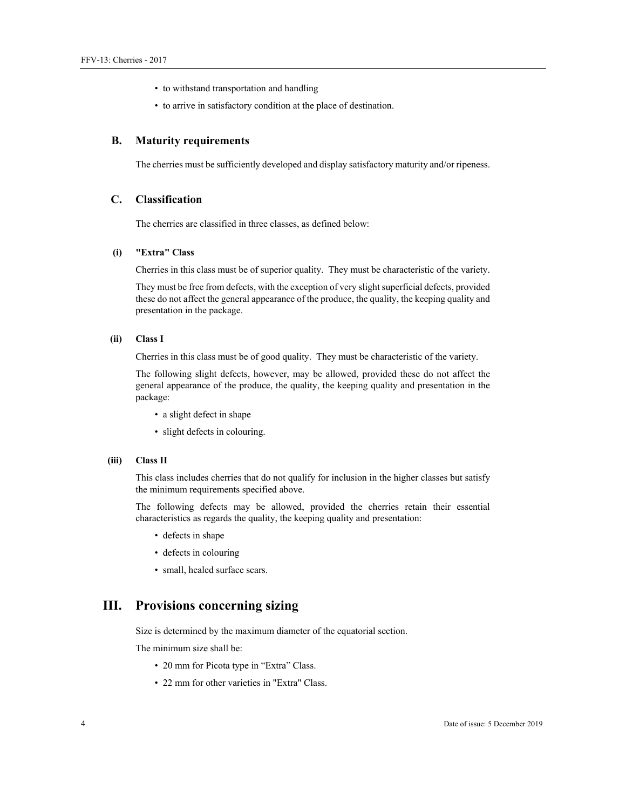- to withstand transportation and handling
- to arrive in satisfactory condition at the place of destination.

#### **B. Maturity requirements**

The cherries must be sufficiently developed and display satisfactory maturity and/or ripeness.

#### **C. Classification**

The cherries are classified in three classes, as defined below:

#### **(i) "Extra" Class**

Cherries in this class must be of superior quality. They must be characteristic of the variety.

They must be free from defects, with the exception of very slight superficial defects, provided these do not affect the general appearance of the produce, the quality, the keeping quality and presentation in the package.

#### **(ii) Class I**

Cherries in this class must be of good quality. They must be characteristic of the variety.

The following slight defects, however, may be allowed, provided these do not affect the general appearance of the produce, the quality, the keeping quality and presentation in the package:

- a slight defect in shape
- slight defects in colouring.

#### **(iii) Class II**

This class includes cherries that do not qualify for inclusion in the higher classes but satisfy the minimum requirements specified above.

The following defects may be allowed, provided the cherries retain their essential characteristics as regards the quality, the keeping quality and presentation:

- defects in shape
- defects in colouring
- small, healed surface scars.

### **III. Provisions concerning sizing**

Size is determined by the maximum diameter of the equatorial section.

The minimum size shall be:

- 20 mm for Picota type in "Extra" Class.
- 22 mm for other varieties in "Extra" Class.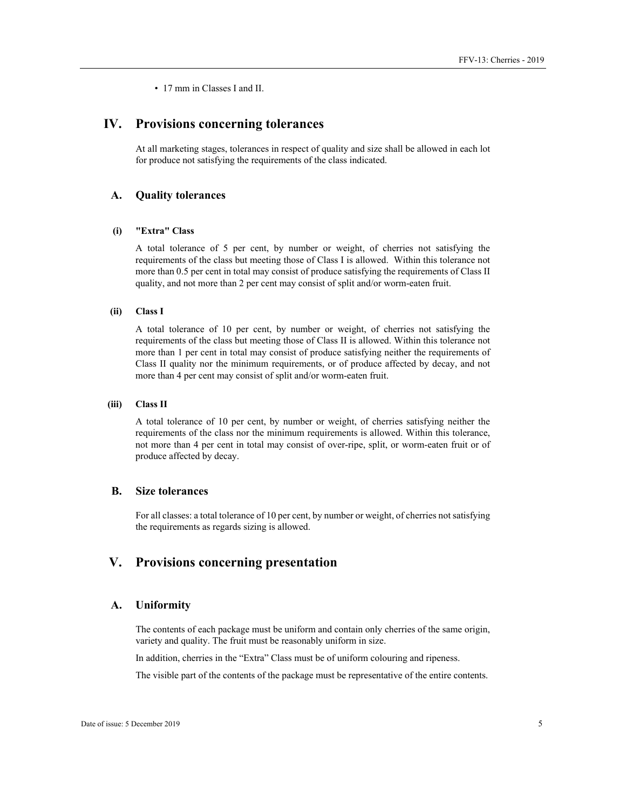• 17 mm in Classes I and II.

# **IV. Provisions concerning tolerances**

At all marketing stages, tolerances in respect of quality and size shall be allowed in each lot for produce not satisfying the requirements of the class indicated.

#### **A. Quality tolerances**

#### **(i) "Extra" Class**

A total tolerance of 5 per cent, by number or weight, of cherries not satisfying the requirements of the class but meeting those of Class I is allowed. Within this tolerance not more than 0.5 per cent in total may consist of produce satisfying the requirements of Class II quality, and not more than 2 per cent may consist of split and/or worm-eaten fruit.

#### **(ii) Class I**

A total tolerance of 10 per cent, by number or weight, of cherries not satisfying the requirements of the class but meeting those of Class II is allowed. Within this tolerance not more than 1 per cent in total may consist of produce satisfying neither the requirements of Class II quality nor the minimum requirements, or of produce affected by decay, and not more than 4 per cent may consist of split and/or worm-eaten fruit.

#### **(iii) Class II**

A total tolerance of 10 per cent, by number or weight, of cherries satisfying neither the requirements of the class nor the minimum requirements is allowed. Within this tolerance, not more than 4 per cent in total may consist of over-ripe, split, or worm-eaten fruit or of produce affected by decay.

#### **B. Size tolerances**

For all classes: a total tolerance of 10 per cent, by number or weight, of cherries not satisfying the requirements as regards sizing is allowed.

# **V. Provisions concerning presentation**

#### **A. Uniformity**

The contents of each package must be uniform and contain only cherries of the same origin, variety and quality. The fruit must be reasonably uniform in size.

In addition, cherries in the "Extra" Class must be of uniform colouring and ripeness.

The visible part of the contents of the package must be representative of the entire contents.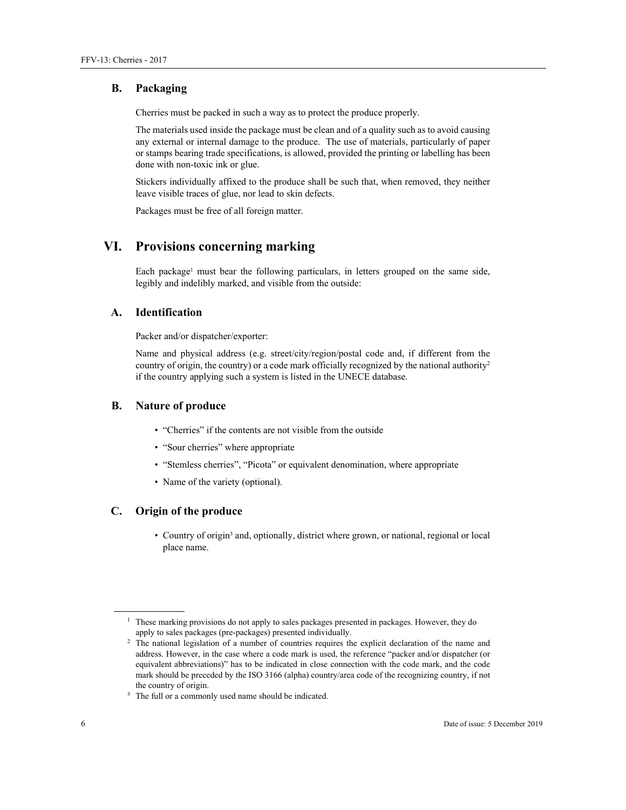#### **B. Packaging**

Cherries must be packed in such a way as to protect the produce properly.

The materials used inside the package must be clean and of a quality such as to avoid causing any external or internal damage to the produce. The use of materials, particularly of paper or stamps bearing trade specifications, is allowed, provided the printing or labelling has been done with non-toxic ink or glue.

Stickers individually affixed to the produce shall be such that, when removed, they neither leave visible traces of glue, nor lead to skin defects.

Packages must be free of all foreign matter.

# **VI. Provisions concerning marking**

Each package<sup>1</sup> must bear the following particulars, in letters grouped on the same side, legibly and indelibly marked, and visible from the outside:

#### **A. Identification**

Packer and/or dispatcher/exporter:

Name and physical address (e.g. street/city/region/postal code and, if different from the country of origin, the country) or a code mark officially recognized by the national authority<sup>2</sup> if the country applying such a system is listed in the UNECE database.

#### **B. Nature of produce**

- "Cherries" if the contents are not visible from the outside
- "Sour cherries" where appropriate
- "Stemless cherries", "Picota" or equivalent denomination, where appropriate
- Name of the variety (optional).

# **C. Origin of the produce**

• Country of origin<sup>3</sup> and, optionally, district where grown, or national, regional or local place name.

 $\overline{a}$ 

<sup>&</sup>lt;sup>1</sup> These marking provisions do not apply to sales packages presented in packages. However, they do

apply to sales packages (pre-packages) presented individually. 2 The national legislation of a number of countries requires the explicit declaration of the name and address. However, in the case where a code mark is used, the reference "packer and/or dispatcher (or equivalent abbreviations)" has to be indicated in close connection with the code mark, and the code mark should be preceded by the ISO 3166 (alpha) country/area code of the recognizing country, if not the country of origin.<br> $3$  The full or a commonly used name should be indicated.